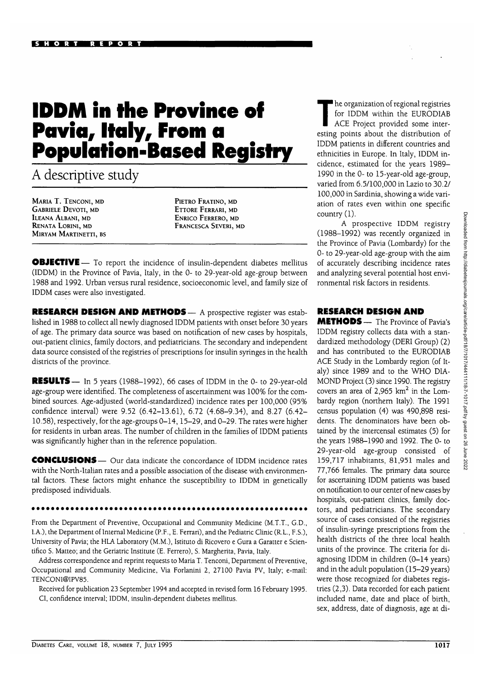## **IDDM in the Province of Pavia, Italy, From a Population-Based Registry**

A descriptive study

MARIA T. TENCONI, MD GABRIELE DEVOTI, MD ILEANA ALBANI, MD RENATA LORINI, MD MIRYAM MARTINETTI, BS PlETRO FRATINO, MD ETTORE FERRARI, MD ENRICO FERRERO, MD FRANCESCA SEVERI, MD

**OBJECTIVE** — To report the incidence of insulin-dependent diabetes mellitus (IDDM) in the Province of Pavia, Italy, in the 0- to 29-year-old age-group between 1988 and 1992. Urban versus rural residence, socioeconomic level, and family size of IDDM cases were also investigated.

**RESEARCH DESIGN AND METHODS—** A prospective register was established in 1988 to collect all newly diagnosed IDDM patients with onset before 30 years of age. The primary data source was based on notification of new cases by hospitals, out-patient clinics, family doctors, and pediatricians. The secondary and independent data source consisted of the registries of prescriptions for insulin syringes in the health districts of the province.

**RESULTS—** In 5 years (1988-1992), 66 cases of IDDM in the 0- to 29-year-old age-group were identified. The completeness of ascertainment was 100% for the combined sources. Age-adjusted (world-standardized) incidence rates per 100,000 (95% confidence interval) were 9.52 (6.42-13.61), 6.72 (4.68-9.34), and 8.27 (6.42- 10.58), respectively, for the age-groups 0-14,15-29, and 0-29. The rates were higher for residents in urban areas. The number of children in the families of IDDM patients was significantly higher than in the reference population.

**CONCLUSIONS** — Our data indicate the concordance of IDDM incidence rates with the North-Italian rates and a possible association of the disease with environmental factors. These factors might enhance the susceptibility to IDDM in genetically predisposed individuals.

**\*\*\*\*\*\*\*\*\*\*\*\*\*\*\*** 

From the Department of Preventive, Occupational and Community Medicine (M.T.T., G.D., I.A.), the Department of Internal Medicine (P.F., E. Ferrari), and the Pediatric Clinic (R.L., F.S.), University of Pavia; the HLA Laboratory (M.M.), Istituto di Ricovero e Gura a Garatter e Scientifico S. Matteo; and the Geriatric Institute (E. Ferrero), S. Margherita, Pavia, Italy.

Address correspondence and reprint requests to Maria T. Tenconi, Department of Preventive, Occupational and Community Medicine, Via Forlanini 2, 27100 Pavia PV, Italy; e-mail: TENCONI@IPV85.

Received for publication 23 September 1994 and accepted in revised form 16 February 1995. CI, confidence interval; IDDM, insulin-dependent diabetes mellitus.

The organization of regional registries<br>for IDDM within the EURODIAB<br>ACE Project provided some interfor IDDM within the EURODIAB ACE Project provided some interesting points about the distribution of IDDM patients in different countries and ethnicities in Europe. In Italy, IDDM incidence, estimated for the years 1989- 1990 in the 0- to 15-year-old age-group, varied from 6.5/100,000 in Lazio to 30.2/ 100,000 in Sardinia, showing a wide variation of rates even within one specific country (1).

A prospective IDDM registry (1988-1992) was recently organized in the Province of Pavia (Lombardy) for the 0- to 29-year-old age-group with the aim of accurately describing incidence rates and analyzing several potential host environmental risk factors in residents.

## **RESEARCH DESIGN AND**

**METHODS—** The Province of Pavia's IDDM registry collects data with a standardized methodology (DERI Group) (2) and has contributed to the EURODIAB ACE Study in the Lombardy region (of Italy) since 1989 and to the WHO DIA-MOND Project (3) since 1990. The registry covers an area of  $2,965$  km<sup>2</sup> in the Lombardy region (northern Italy). The 1991 census population (4) was 490,898 residents. The denominators have been obtained by the intercensal estimates (5) for the years 1988-1990 and 1992. The 0- to 29-year-old age-group consisted of 159,717 inhabitants, 81,951 males and 77,766 females. The primary data source for ascertaining IDDM patients was based on notification to our center of new cases by hospitals, out-patient clinics, family doctors, and pediatricians. The secondary source of cases consisted of the registries of insulin-syringe prescriptions from the health districts of the three local health units of the province. The criteria for diagnosing IDDM in children (0-14 years) and in the adult population (15-29 years) were those recognized for diabetes registries (2,3). Data recorded for each patient included name, date and place of birth, sex, address, date of diagnosis, age at di-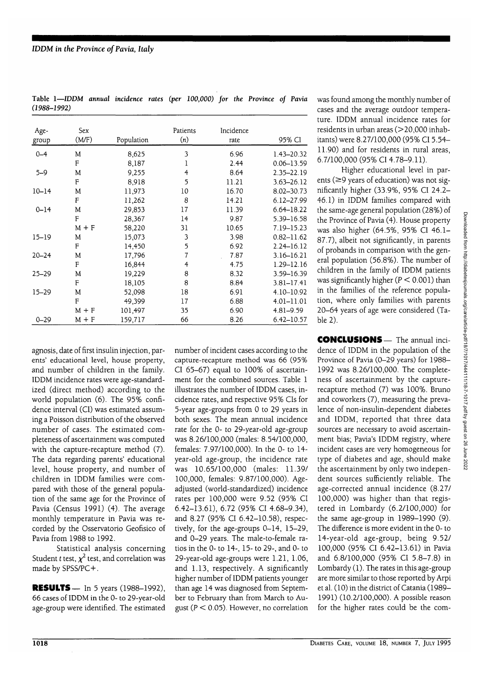| Age-<br>group | Sex<br>(M/F) | Population | Patients<br>(n) | Incidence<br>rate | 95% CI         |
|---------------|--------------|------------|-----------------|-------------------|----------------|
| $0 - 4$       | M            | 8,625      | 3               | 6.96              | 1.43-20.32     |
|               | F            | 8,187      | 1               | 2.44              | $0.06 - 13.59$ |
| $5 - 9$       | M            | 9,255      | 4               | 8.64              | 2.35-22.19     |
|               | F            | 8,918      | 5               | 11.21             | $3.63 - 26.12$ |
| $10 - 14$     | M            | 11,973     | 10              | 16.70             | 8.02-30.73     |
|               | F            | 11,262     | 8               | 14.21             | $6.12 - 27.99$ |
| $0 - 14$      | M            | 29,853     | 17              | 11.39             | $6.64 - 18.22$ |
|               | F            | 28,367     | 14              | 9.87              | 5.39-16.58     |
|               | $M + F$      | 58,220     | 31              | 10.65             | 7.19-15.23     |
| $15 - 19$     | M            | 15,073     | 3               | 3.98              | $0.82 - 11.62$ |
|               | F            | 14,450     | 5               | 6.92              | $2.24 - 16.12$ |
| $20 - 24$     | M            | 17,796     | 7               | 7.87              | $3.16 - 16.21$ |
|               | F            | 16,844     | 4               | 4.75              | 1.29-12.16     |
| $25 - 29$     | M            | 19,229     | 8               | 8.32              | 3.59-16.39     |
|               | F            | 18,105     | 8               | 8.84              | $3.81 - 17.41$ |
| $15 - 29$     | M            | 52,098     | 18              | 6.91              | 4.10-10.92     |
|               | F            | 49,399     | 17              | 6.88              | $4.01 - 11.01$ |
|               | $M + F$      | 101,497    | 35              | 6.90              | $4.81 - 9.59$  |
| $0 - 29$      | $M + F$      | 159,717    | 66              | 8.26              | $6.42 - 10.57$ |

**Table 1—IDDM** *annual incidence rates (per 100,000) for the Province of Pavia (1988-1992)*

was found among the monthly number of cases and the average outdoor temperature. IDDM annual incidence rates for residents in urban areas  $(>20.000$  inhabitants) were 8.27/100,000 (95% CI 5.54- 11.90) and for residents in rural areas, 6.7/100,000 (95% CI 4.78-9.11).

Higher educational level in parents ( $\geq$ 9 years of education) was not significantly higher (33.9%, 95% CI 24.2- 46.1) in IDDM families compared with the same-age general population (28%) of the Province of Pavia (4). House property was also higher (64.5%, 95% CI 46.1- 87.7), albeit not significantly, in parents of probands in comparison with the general population (56.8%). The number of children in the family of IDDM patients was significantly higher  $(P < 0.001)$  than in the families of the reference population, where only families with parents 20-64 years of age were considered (Table 2).

agnosis, date of first insulin injection, parents' educational level, house property, and number of children in the family. IDDM incidence rates were age-standardized (direct method) according to the world population (6). The 95% confidence interval (CI) was estimated assuming a Poisson distribution of the observed number of cases. The estimated completeness of ascertainment was computed with the capture-recapture method (7). The data regarding parents' educational level, house property, and number of children in IDDM families were compared with those of the general population of the same age for the Province of Pavia (Census 1991) (4). The average monthly temperature in Pavia was recorded by the Osservatorio Geofisico of Pavia from 1988 to 1992.

Statistical analysis concerning Student *t* test,  $\chi^2$  test, and correlation was made by SPSS/PC+.

**RESULTS** — In 5 years (1988-1992), 66 cases of IDDM in the 0- to 29-year-old age-group were identified. The estimated number of incident cases according to the capture-recapture method was 66 (95% CI 65-67) equal to 100% of ascertainment for the combined sources. Table 1 illustrates the number of IDDM cases, incidence rates, and respective 95% CIs for 5-year age-groups from 0 to 29 years in both sexes. The mean annual incidence rate for the 0- to 29-year-old age-group was 8.26/100,000 (males: 8.54/100,000, females: 7.97/100,000). In the 0- to 14 year-old age-group, the incidence rate was 10.65/100,000 (males: 11.39/ 100,000, females: 9.87/100,000). Ageadjusted (world-standardized) incidence rates per 100,000 were 9.52 (95% CI 6.42-13.61), 6.72 (95% CI 4.68-9.34), and 8.27 (95% CI 6.42-10.58), respectively, for the age-groups 0-14, 15-29, and 0-29 years. The male-to-female ratios in the 0- to 14-, 15- to 29-, and 0- to 29-year-old age-groups were 1.21, 1.06, and 1.13, respectively. A significantly higher number of IDDM patients younger than age 14 was diagnosed from September to February than from March to August ( $P < 0.05$ ). However, no correlation **CONCLUSIONS** — The annual incidence of IDDM in the population of the Province of Pavia (0-29 years) for 1988- 1992 was 8.26/100,000. The completeness of ascertainment by the capturerecapture method (7) was 100%. Bruno and coworkers (7), measuring the prevalence of non-insulin-dependent diabetes and IDDM, reported that three data sources are necessary to avoid ascertainment bias; Pavia's IDDM registry, where incident cases are very homogeneous for type of diabetes and age, should make the ascertainment by only two independent sources sufficiently reliable. The age-corrected annual incidence (8.27/ 100,000) was higher than that registered in Lombardy (6.2/100,000) for the same age-group in 1989-1990 (9). The difference is more evident in the 0- to 14-year-old age-group, being 9.52/ 100,000 (95% CI 6.42-13.61) in Pavia and 6.8/100,000 (95% CI 5.8-7.8) in Lombardy (1). The rates in this age-group are more similar to those reported by Arpi et al. (10) in the district of Catania (1989- 1991) (10.2/100,000). A possible reason for the higher rates could be the com-